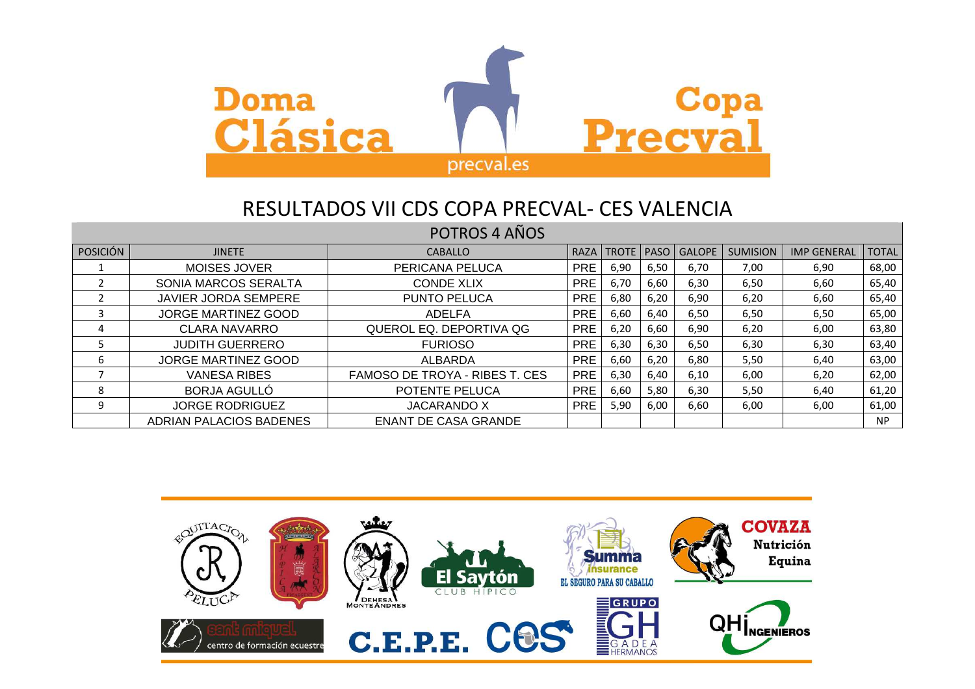

## POTROS 4 AÑOS

| <b>POSICIÓN</b> | <b>JINETE</b>               | <b>CABALLO</b>                 | <b>RAZA</b> | TROTE   PASO |      | <b>GALOPE</b> | <b>SUMISION</b> | <b>IMP GENERAL</b> | <b>TOTAL</b> |
|-----------------|-----------------------------|--------------------------------|-------------|--------------|------|---------------|-----------------|--------------------|--------------|
|                 | <b>MOISES JOVER</b>         | PERICANA PELUCA                | <b>PRE</b>  | 6,90         | 6,50 | 6,70          | 7,00            | 6,90               | 68,00        |
|                 | SONIA MARCOS SERALTA        | <b>CONDE XLIX</b>              | <b>PRE</b>  | 6,70         | 6,60 | 6,30          | 6,50            | 6,60               | 65,40        |
|                 | <b>JAVIER JORDA SEMPERE</b> | PUNTO PELUCA                   | <b>PRE</b>  | 6,80         | 6,20 | 6,90          | 6,20            | 6,60               | 65,40        |
|                 | JORGE MARTINEZ GOOD         | <b>ADELFA</b>                  | <b>PRE</b>  | 6,60         | 6,40 | 6,50          | 6,50            | 6,50               | 65,00        |
|                 | <b>CLARA NAVARRO</b>        | QUEROL EQ. DEPORTIVA QG        | <b>PRE</b>  | 6,20         | 6,60 | 6,90          | 6,20            | 6,00               | 63,80        |
|                 | <b>JUDITH GUERRERO</b>      | <b>FURIOSO</b>                 | <b>PRE</b>  | 6,30         | 6,30 | 6,50          | 6,30            | 6,30               | 63,40        |
| 6               | JORGE MARTINEZ GOOD         | ALBARDA                        | <b>PRE</b>  | 6,60         | 6,20 | 6,80          | 5,50            | 6,40               | 63,00        |
|                 | <b>VANESA RIBES</b>         | FAMOSO DE TROYA - RIBES T. CES | <b>PRE</b>  | 6,30         | 6,40 | 6,10          | 6,00            | 6,20               | 62,00        |
| 8               | <b>BORJA AGULLO</b>         | POTENTE PELUCA                 | <b>PRE</b>  | 6,60         | 5,80 | 6,30          | 5,50            | 6,40               | 61,20        |
| 9               | <b>JORGE RODRIGUEZ</b>      | <b>JACARANDO X</b>             | <b>PRE</b>  | 5,90         | 6,00 | 6,60          | 6,00            | 6,00               | 61,00        |
|                 | ADRIAN PALACIOS BADENES     | <b>ENANT DE CASA GRANDE</b>    |             |              |      |               |                 |                    | <b>NP</b>    |

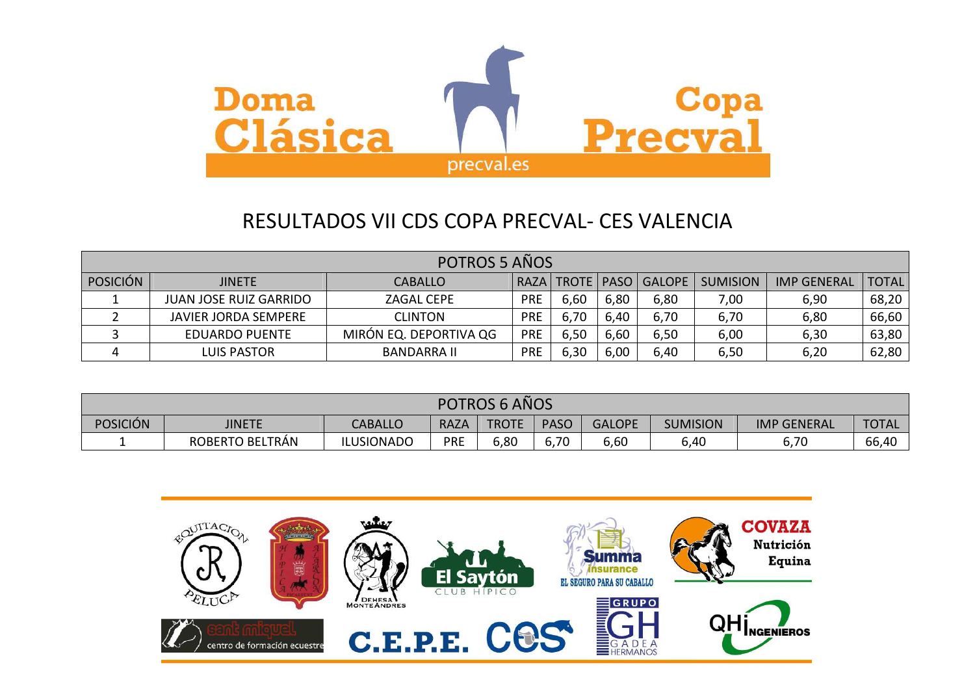

|                 | <b>POTROS 5 AÑOS</b>                                     |                        |            |      |      |               |                 |                    |              |  |
|-----------------|----------------------------------------------------------|------------------------|------------|------|------|---------------|-----------------|--------------------|--------------|--|
| <b>POSICIÓN</b> | RAZA   TROTE   PASO  <br><b>JINETE</b><br><b>CABALLO</b> |                        |            |      |      | <b>GALOPE</b> | <b>SUMISION</b> | <b>IMP GENERAL</b> | <b>TOTAL</b> |  |
|                 | <b>JUAN JOSE RUIZ GARRIDO</b>                            | ZAGAL CEPE             | <b>PRE</b> | 6,60 | 6,80 | 6,80          | 7,00            | 6,90               | 68,20        |  |
|                 | <b>JAVIER JORDA SEMPERE</b>                              | <b>CLINTON</b>         | <b>PRE</b> | 6,70 | 6,40 | 6,70          | 6,70            | 6,80               | 66,60        |  |
|                 | <b>EDUARDO PUENTE</b>                                    | MIRÓN EQ. DEPORTIVA QG | <b>PRE</b> | 6,50 | 6,60 | 6,50          | 6,00            | 6,30               | 63,80        |  |
|                 | LUIS PASTOR                                              | <b>BANDARRA II</b>     | <b>PRE</b> | 6,30 | 6,00 | 6,40          | 6,50            | 6,20               | 62,80        |  |

| POTROS 6 AÑOS   |                 |                   |             |              |             |               |                 |                    |              |
|-----------------|-----------------|-------------------|-------------|--------------|-------------|---------------|-----------------|--------------------|--------------|
| <b>POSICIÓN</b> | <b>JINETE</b>   | <b>CABALLO</b>    | <b>RAZA</b> | <b>TROTE</b> | <b>PASO</b> | <b>GALOPE</b> | <b>SUMISION</b> | <b>IMP GENERAL</b> | <b>TOTAL</b> |
|                 | ROBERTO BELTRÁN | <b>ILUSIONADO</b> | <b>PRE</b>  | 6,80         | 6,70        | 6,60          | 6,40            | 6,70               | 66,40        |

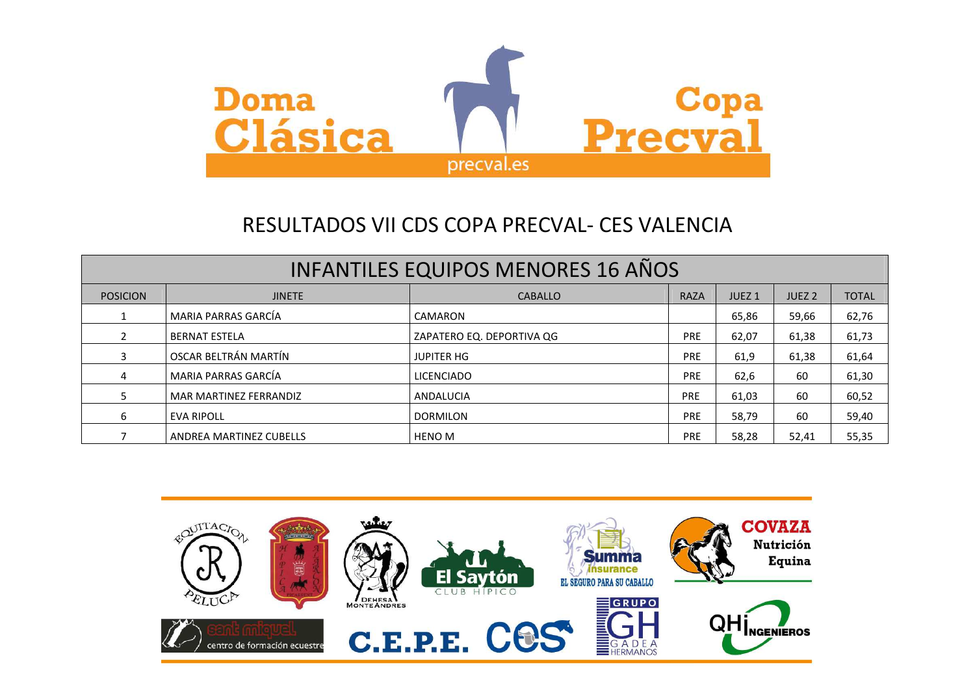

| <b>INFANTILES EQUIPOS MENORES 16 AÑOS</b> |                         |                           |             |                   |                   |              |  |  |  |
|-------------------------------------------|-------------------------|---------------------------|-------------|-------------------|-------------------|--------------|--|--|--|
| <b>POSICION</b>                           | <b>JINETE</b>           | <b>CABALLO</b>            | <b>RAZA</b> | JUEZ <sub>1</sub> | JUEZ <sub>2</sub> | <b>TOTAL</b> |  |  |  |
|                                           | MARIA PARRAS GARCÍA     | CAMARON                   |             | 65,86             | 59,66             | 62,76        |  |  |  |
|                                           | <b>BERNAT ESTELA</b>    | ZAPATERO EQ. DEPORTIVA QG | <b>PRE</b>  | 62,07             | 61,38             | 61,73        |  |  |  |
| 3.                                        | OSCAR BELTRÁN MARTÍN    | <b>JUPITER HG</b>         | <b>PRE</b>  | 61,9              | 61,38             | 61,64        |  |  |  |
| 4                                         | MARIA PARRAS GARCÍA     | <b>LICENCIADO</b>         | <b>PRE</b>  | 62,6              | 60                | 61,30        |  |  |  |
|                                           | MAR MARTINEZ FERRANDIZ  | ANDALUCIA                 | <b>PRE</b>  | 61,03             | 60                | 60,52        |  |  |  |
| 6                                         | <b>EVA RIPOLL</b>       | <b>DORMILON</b>           | <b>PRE</b>  | 58,79             | 60                | 59,40        |  |  |  |
|                                           | ANDREA MARTINEZ CUBELLS | <b>HENO M</b>             | <b>PRE</b>  | 58,28             | 52,41             | 55,35        |  |  |  |

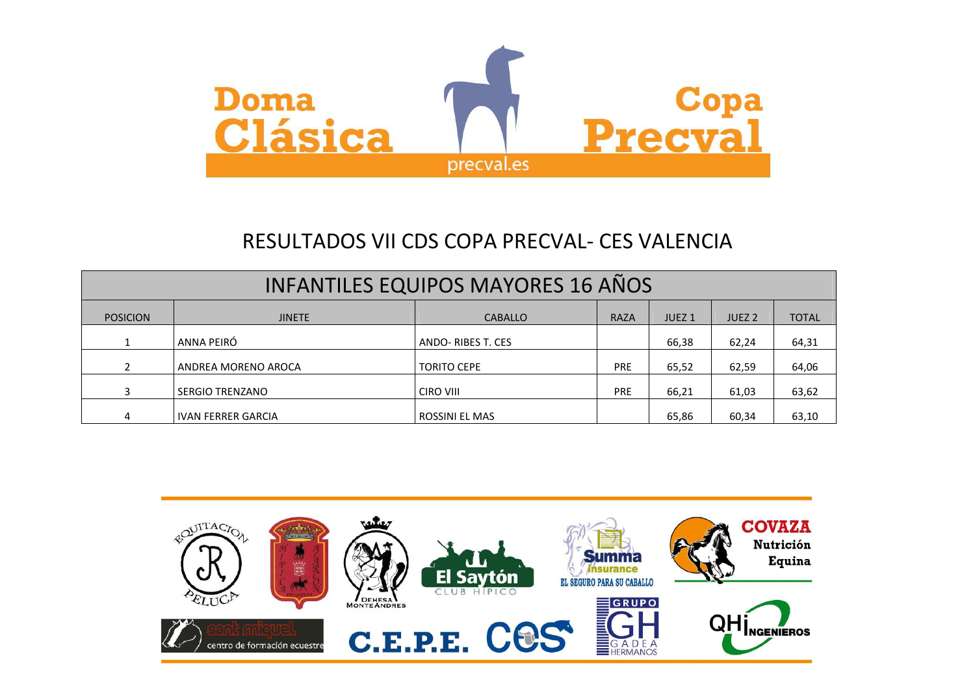

| <b>INFANTILES EQUIPOS MAYORES 16 AÑOS</b> |                           |                    |             |                   |                   |              |  |  |  |  |
|-------------------------------------------|---------------------------|--------------------|-------------|-------------------|-------------------|--------------|--|--|--|--|
| <b>POSICION</b>                           | <b>JINETE</b>             | <b>CABALLO</b>     | <b>RAZA</b> | JUEZ <sub>1</sub> | JUEZ <sub>2</sub> | <b>TOTAL</b> |  |  |  |  |
|                                           | ANNA PEIRÓ                | ANDO-RIBES T. CES  |             | 66,38             | 62,24             | 64,31        |  |  |  |  |
| $\mathcal{P}$                             | ANDREA MORENO AROCA       | <b>TORITO CEPE</b> | <b>PRE</b>  | 65,52             | 62,59             | 64,06        |  |  |  |  |
| 3                                         | <b>SERGIO TRENZANO</b>    | CIRO VIII          | <b>PRE</b>  | 66,21             | 61,03             | 63,62        |  |  |  |  |
| 4                                         | <b>IVAN FERRER GARCIA</b> | ROSSINI EL MAS     |             | 65,86             | 60,34             | 63,10        |  |  |  |  |

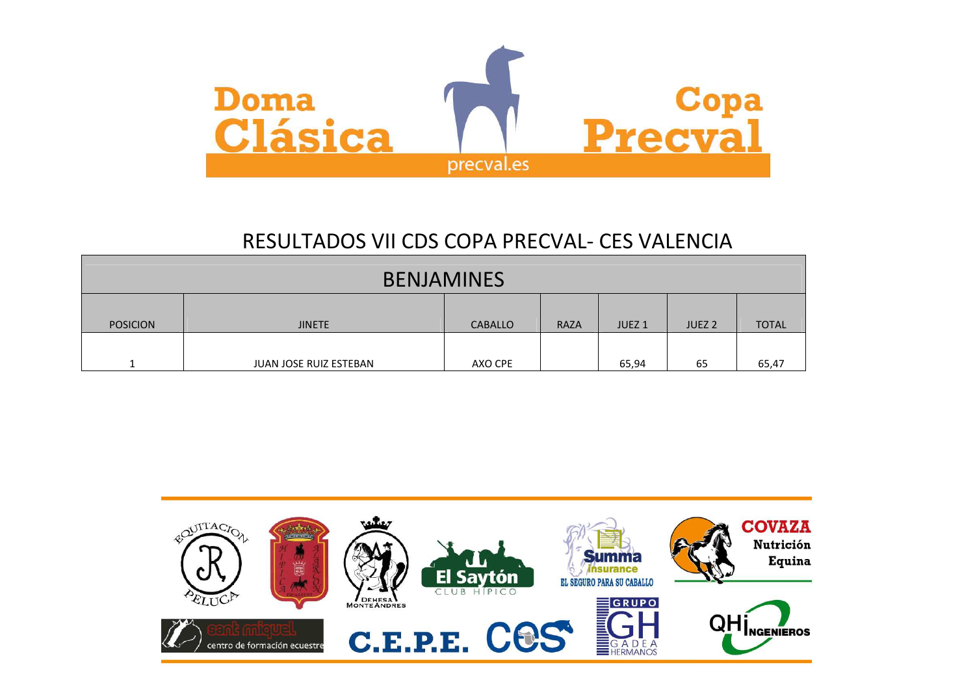

| <b>BENJAMINES</b> |                               |         |                   |                   |              |  |  |  |  |
|-------------------|-------------------------------|---------|-------------------|-------------------|--------------|--|--|--|--|
| <b>JINETE</b>     | <b>CABALLO</b>                | RAZA    | JUEZ <sub>1</sub> | JUEZ <sub>2</sub> | <b>TOTAL</b> |  |  |  |  |
|                   |                               |         |                   |                   | 65,47        |  |  |  |  |
|                   | <b>JUAN JOSE RUIZ ESTEBAN</b> | AXO CPE |                   | 65,94             | 65           |  |  |  |  |

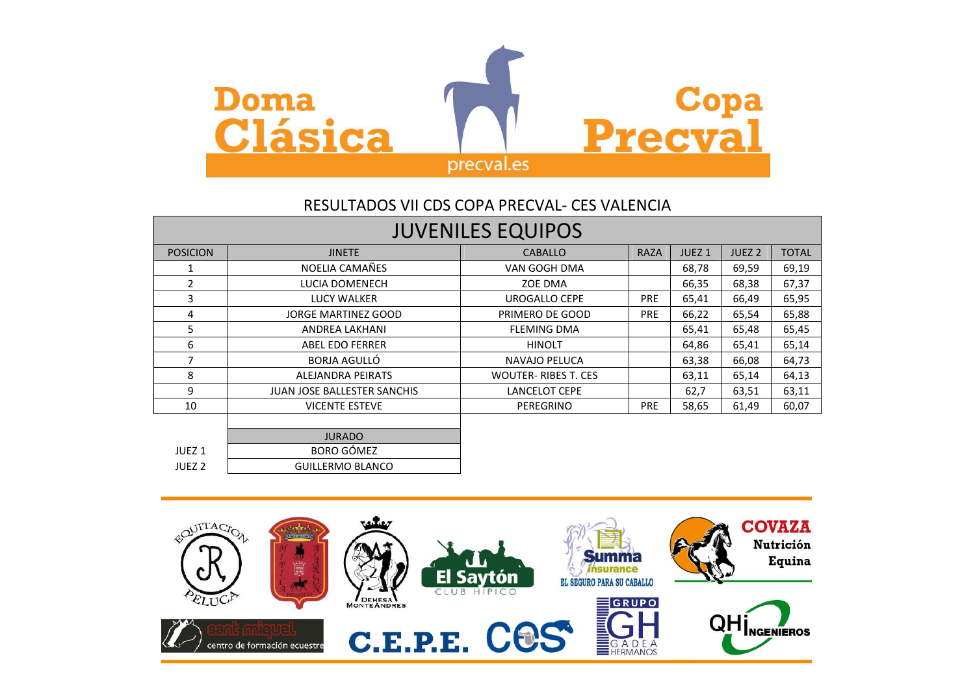

|                   | <b>JUVENILES EQUIPOS</b>           |                             |             |                   |                   |              |  |  |  |  |  |
|-------------------|------------------------------------|-----------------------------|-------------|-------------------|-------------------|--------------|--|--|--|--|--|
| <b>POSICION</b>   | <b>JINETE</b>                      | <b>CABALLO</b>              | <b>RAZA</b> | JUEZ <sub>1</sub> | JUEZ <sub>2</sub> | <b>TOTAL</b> |  |  |  |  |  |
| 1                 | NOELIA CAMAÑES                     | VAN GOGH DMA                |             | 68,78             | 69,59             | 69,19        |  |  |  |  |  |
| 2                 | LUCIA DOMENECH                     | ZOE DMA                     |             | 66,35             | 68,38             | 67,37        |  |  |  |  |  |
| 3                 | <b>LUCY WALKER</b>                 | <b>UROGALLO CEPE</b>        | <b>PRE</b>  | 65,41             | 66,49             | 65,95        |  |  |  |  |  |
| 4                 | JORGE MARTINEZ GOOD                | PRIMERO DE GOOD             | <b>PRE</b>  | 66,22             | 65,54             | 65,88        |  |  |  |  |  |
| 5.                | ANDREA LAKHANI                     | <b>FLEMING DMA</b>          |             | 65,41             | 65,48             | 65,45        |  |  |  |  |  |
| 6                 | <b>ABEL EDO FERRER</b>             | <b>HINOLT</b>               |             | 64,86             | 65,41             | 65,14        |  |  |  |  |  |
| 7                 | BORJA AGULLÓ                       | NAVAJO PELUCA               |             | 63,38             | 66,08             | 64,73        |  |  |  |  |  |
| 8                 | ALEJANDRA PEIRATS                  | <b>WOUTER- RIBES T. CES</b> |             | 63,11             | 65,14             | 64,13        |  |  |  |  |  |
| 9                 | <b>JUAN JOSE BALLESTER SANCHIS</b> | <b>LANCELOT CEPE</b>        |             | 62,7              | 63,51             | 63,11        |  |  |  |  |  |
| 10                | <b>VICENTE ESTEVE</b>              | PEREGRINO                   | <b>PRE</b>  | 58,65             | 61,49             | 60,07        |  |  |  |  |  |
|                   |                                    |                             |             |                   |                   |              |  |  |  |  |  |
|                   | <b>JURADO</b>                      |                             |             |                   |                   |              |  |  |  |  |  |
| JUEZ <sub>1</sub> | <b>BORO GÓMEZ</b>                  |                             |             |                   |                   |              |  |  |  |  |  |

JUEZ 2 GUILLERMO BLANCO

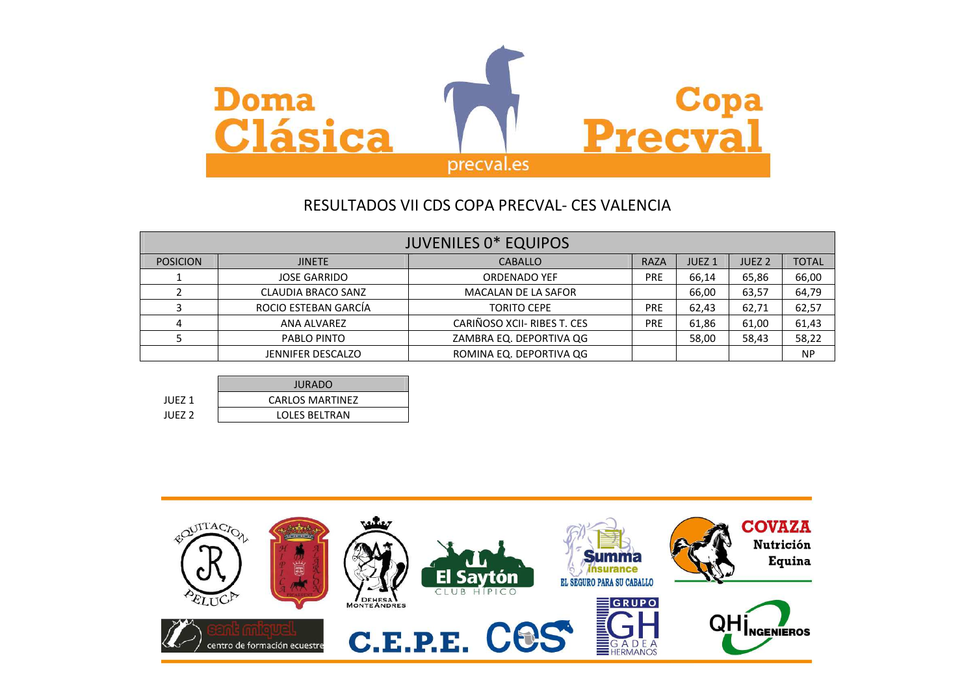

|                 | <b>JUVENILES 0* EQUIPOS</b> |                             |            |                   |                   |              |  |  |  |  |
|-----------------|-----------------------------|-----------------------------|------------|-------------------|-------------------|--------------|--|--|--|--|
| <b>POSICION</b> | <b>JINETE</b>               | <b>CABALLO</b>              | RAZA       | JUEZ <sub>1</sub> | JUEZ <sub>2</sub> | <b>TOTAL</b> |  |  |  |  |
|                 | <b>JOSE GARRIDO</b>         | <b>ORDENADO YEF</b>         | <b>PRE</b> | 66,14             | 65,86             | 66,00        |  |  |  |  |
|                 | CLAUDIA BRACO SANZ          | <b>MACALAN DE LA SAFOR</b>  |            | 66,00             | 63,57             | 64,79        |  |  |  |  |
|                 | ROCIO ESTEBAN GARCÍA        | <b>TORITO CEPE</b>          | <b>PRE</b> | 62,43             | 62,71             | 62,57        |  |  |  |  |
|                 | ANA ALVAREZ                 | CARIÑOSO XCII- RIBES T. CES | <b>PRE</b> | 61,86             | 61,00             | 61,43        |  |  |  |  |
|                 | PABLO PINTO                 | ZAMBRA EQ. DEPORTIVA QG     |            | 58,00             | 58,43             | 58,22        |  |  |  |  |
|                 | <b>JENNIFER DESCALZO</b>    | ROMINA EQ. DEPORTIVA QG     |            |                   |                   | <b>NP</b>    |  |  |  |  |

|                   | <b>JURADO</b>          |
|-------------------|------------------------|
| <b>JUEZ 1</b>     | <b>CARLOS MARTINEZ</b> |
| JUEZ <sub>2</sub> | LOLES BELTRAN          |

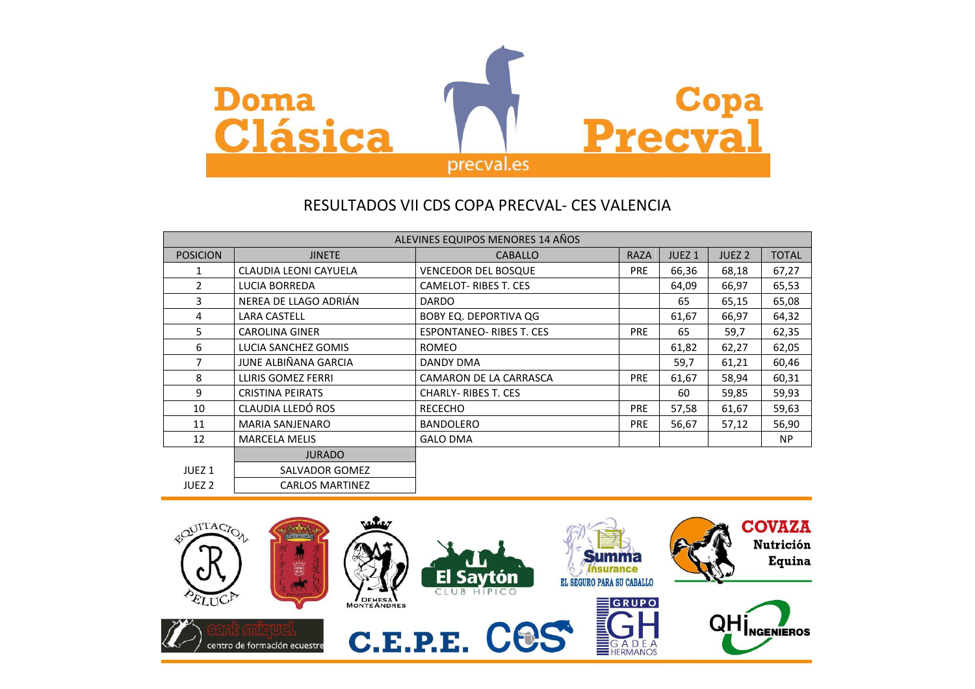

|                   |                           | ALEVINES EQUIPOS MENORES 14 AÑOS |             |                   |                   |              |
|-------------------|---------------------------|----------------------------------|-------------|-------------------|-------------------|--------------|
| <b>POSICION</b>   | <b>JINETE</b>             | <b>CABALLO</b>                   | <b>RAZA</b> | JUEZ <sub>1</sub> | JUEZ <sub>2</sub> | <b>TOTAL</b> |
| 1                 | CLAUDIA LEONI CAYUELA     | <b>VENCEDOR DEL BOSQUE</b>       | <b>PRE</b>  | 66,36             | 68,18             | 67,27        |
| $\overline{2}$    | LUCIA BORREDA             | CAMELOT-RIBES T. CES             |             | 64,09             | 66,97             | 65,53        |
| 3                 | NEREA DE LLAGO ADRIÁN     | <b>DARDO</b>                     |             | 65                | 65,15             | 65,08        |
| 4                 | <b>LARA CASTELL</b>       | <b>BOBY EQ. DEPORTIVA QG</b>     |             | 61,67             | 66,97             | 64,32        |
| 5                 | <b>CAROLINA GINER</b>     | <b>ESPONTANEO-RIBES T. CES</b>   | <b>PRE</b>  | 65                | 59,7              | 62,35        |
| 6                 | LUCIA SANCHEZ GOMIS       | <b>ROMEO</b>                     |             | 61,82             | 62,27             | 62,05        |
| 7                 | JUNE ALBIÑANA GARCIA      | DANDY DMA                        |             | 59,7              | 61,21             | 60,46        |
| 8                 | <b>LLIRIS GOMEZ FERRI</b> | CAMARON DE LA CARRASCA           | <b>PRE</b>  | 61,67             | 58,94             | 60,31        |
| 9                 | <b>CRISTINA PEIRATS</b>   | <b>CHARLY-RIBES T. CES</b>       |             | 60                | 59,85             | 59,93        |
| 10                | CLAUDIA LLEDÓ ROS         | <b>RECECHO</b>                   | <b>PRE</b>  | 57,58             | 61,67             | 59,63        |
| 11                | <b>MARIA SANJENARO</b>    | <b>BANDOLERO</b>                 | <b>PRE</b>  | 56,67             | 57,12             | 56,90        |
| 12                | <b>MARCELA MELIS</b>      | <b>GALO DMA</b>                  |             |                   |                   | <b>NP</b>    |
|                   | <b>JURADO</b>             |                                  |             |                   |                   |              |
| JUEZ <sub>1</sub> | SALVADOR GOMEZ            |                                  |             |                   |                   |              |
| JUEZ <sub>2</sub> | <b>CARLOS MARTINEZ</b>    |                                  |             |                   |                   |              |

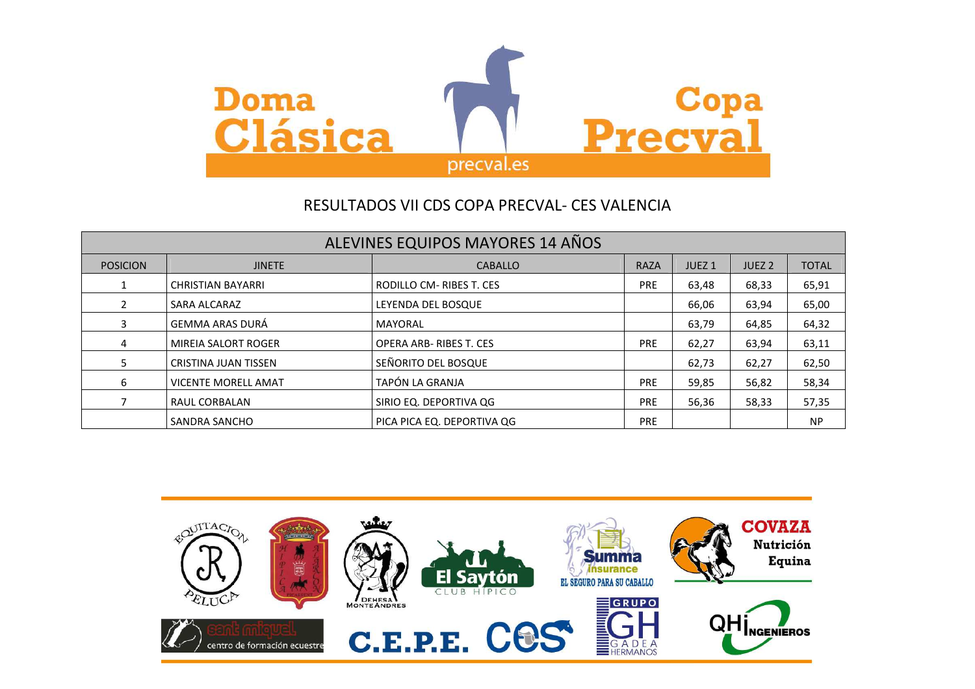

|                 | ALEVINES EQUIPOS MAYORES 14 AÑOS |                               |             |                   |                   |              |  |  |  |  |  |
|-----------------|----------------------------------|-------------------------------|-------------|-------------------|-------------------|--------------|--|--|--|--|--|
| <b>POSICION</b> | <b>JINETE</b>                    | <b>CABALLO</b>                | <b>RAZA</b> | JUEZ <sub>1</sub> | JUEZ <sub>2</sub> | <b>TOTAL</b> |  |  |  |  |  |
| 1               | <b>CHRISTIAN BAYARRI</b>         | RODILLO CM-RIBES T. CES       | <b>PRE</b>  | 63,48             | 68,33             | 65,91        |  |  |  |  |  |
| $\overline{2}$  | SARA ALCARAZ                     | LEYENDA DEL BOSQUE            |             | 66,06             | 63,94             | 65,00        |  |  |  |  |  |
| 3               | <b>GEMMA ARAS DURÁ</b>           | MAYORAL                       |             | 63,79             | 64,85             | 64,32        |  |  |  |  |  |
| 4               | <b>MIREIA SALORT ROGER</b>       | <b>OPERA ARB-RIBES T. CES</b> | <b>PRE</b>  | 62,27             | 63,94             | 63,11        |  |  |  |  |  |
| 5.              | <b>CRISTINA JUAN TISSEN</b>      | SEÑORITO DEL BOSQUE           |             | 62,73             | 62,27             | 62,50        |  |  |  |  |  |
| 6               | <b>VICENTE MORELL AMAT</b>       | TAPÓN LA GRANJA               | <b>PRE</b>  | 59,85             | 56,82             | 58,34        |  |  |  |  |  |
|                 | RAUL CORBALAN                    | SIRIO EQ. DEPORTIVA QG        | <b>PRE</b>  | 56,36             | 58,33             | 57,35        |  |  |  |  |  |
|                 | SANDRA SANCHO                    | PICA PICA EQ. DEPORTIVA QG    | <b>PRE</b>  |                   |                   | <b>NP</b>    |  |  |  |  |  |

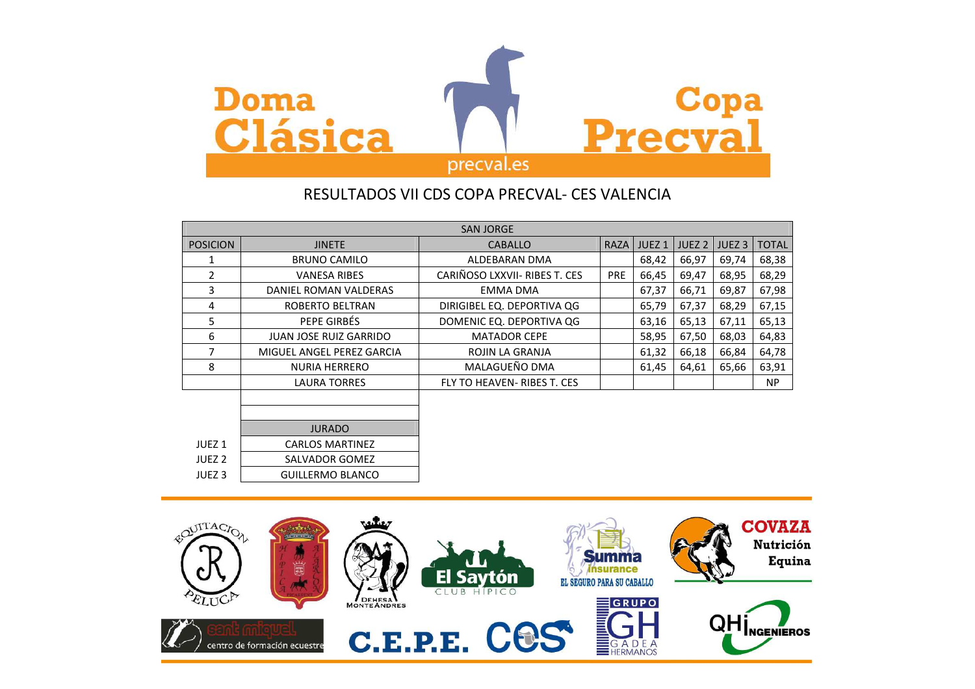

|                   |                           | <b>SAN JORGE</b>              |             |                   |                   |                   |              |
|-------------------|---------------------------|-------------------------------|-------------|-------------------|-------------------|-------------------|--------------|
| <b>POSICION</b>   | <b>JINETE</b>             | <b>CABALLO</b>                | <b>RAZA</b> | JUEZ <sub>1</sub> | JUEZ <sub>2</sub> | JUEZ <sub>3</sub> | <b>TOTAL</b> |
| 1                 | <b>BRUNO CAMILO</b>       | ALDEBARAN DMA                 |             | 68,42             | 66,97             | 69,74             | 68,38        |
| $\overline{2}$    | <b>VANESA RIBES</b>       | CARIÑOSO LXXVII- RIBES T. CES | <b>PRE</b>  | 66,45             | 69,47             | 68,95             | 68,29        |
| 3                 | DANIEL ROMAN VALDERAS     | <b>EMMA DMA</b>               |             | 67,37             | 66,71             | 69,87             | 67,98        |
| 4                 | ROBERTO BELTRAN           | DIRIGIBEL EQ. DEPORTIVA QG    |             | 65,79             | 67,37             | 68,29             | 67,15        |
| 5                 | PEPE GIRBÉS               | DOMENIC EQ. DEPORTIVA QG      |             | 63,16             | 65,13             | 67,11             | 65,13        |
| 6                 | JUAN JOSE RUIZ GARRIDO    | <b>MATADOR CEPE</b>           |             | 58,95             | 67,50             | 68,03             | 64,83        |
| 7                 | MIGUEL ANGEL PEREZ GARCIA | ROJIN LA GRANJA               |             | 61,32             | 66,18             | 66,84             | 64,78        |
| 8                 | <b>NURIA HERRERO</b>      | MALAGUEÑO DMA                 |             | 61,45             | 64,61             | 65,66             | 63,91        |
|                   | <b>LAURA TORRES</b>       | FLY TO HEAVEN- RIBES T. CES   |             |                   |                   |                   | NP           |
|                   |                           |                               |             |                   |                   |                   |              |
|                   |                           |                               |             |                   |                   |                   |              |
|                   | <b>JURADO</b>             |                               |             |                   |                   |                   |              |
| JUEZ <sub>1</sub> | <b>CARLOS MARTINEZ</b>    |                               |             |                   |                   |                   |              |
| JUEZ <sub>2</sub> | SALVADOR GOMEZ            |                               |             |                   |                   |                   |              |
| JUEZ <sub>3</sub> | <b>GUILLERMO BLANCO</b>   |                               |             |                   |                   |                   |              |

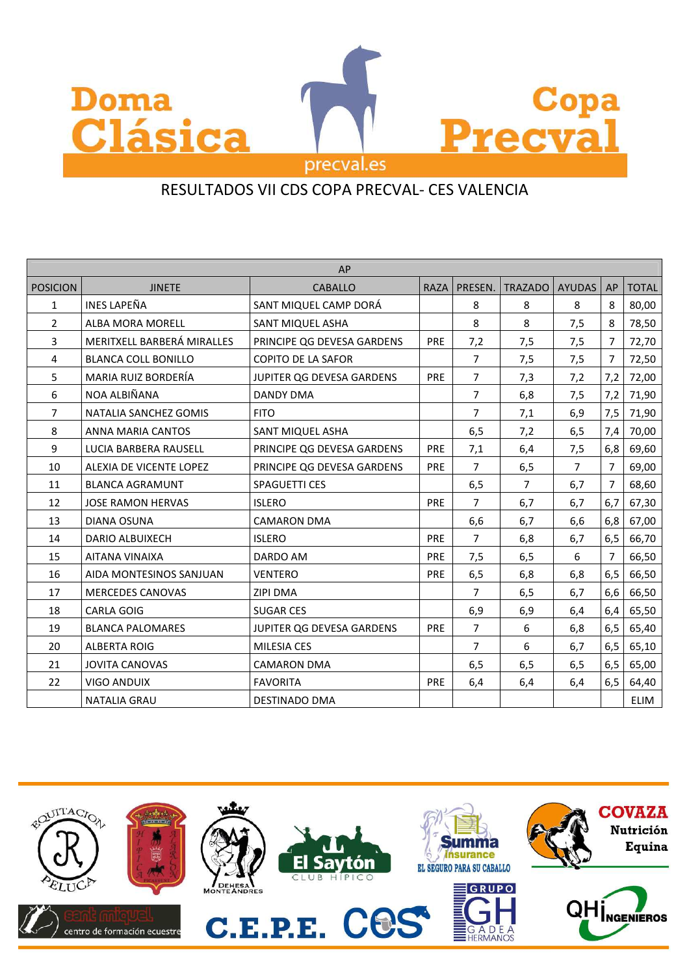

| AP              |                            |                            |             |                |                |                |     |              |
|-----------------|----------------------------|----------------------------|-------------|----------------|----------------|----------------|-----|--------------|
| <b>POSICION</b> | <b>JINETE</b>              | <b>CABALLO</b>             | <b>RAZA</b> | PRESEN.        | <b>TRAZADO</b> | <b>AYUDAS</b>  | AP  | <b>TOTAL</b> |
| $\mathbf{1}$    | <b>INES LAPEÑA</b>         | SANT MIQUEL CAMP DORÁ      |             | 8              | 8              | 8              | 8   | 80,00        |
| $\overline{2}$  | ALBA MORA MORELL           | SANT MIQUEL ASHA           |             | 8              | 8              | 7,5            | 8   | 78,50        |
| 3               | MERITXELL BARBERÁ MIRALLES | PRINCIPE QG DEVESA GARDENS | <b>PRE</b>  | 7,2            | 7,5            | 7,5            | 7   | 72,70        |
| 4               | <b>BLANCA COLL BONILLO</b> | <b>COPITO DE LA SAFOR</b>  |             | $\overline{7}$ | 7,5            | 7,5            | 7   | 72,50        |
| 5               | MARIA RUIZ BORDERÍA        | JUPITER QG DEVESA GARDENS  | PRE         | $\overline{7}$ | 7,3            | 7,2            | 7,2 | 72,00        |
| 6               | NOA ALBIÑANA               | <b>DANDY DMA</b>           |             | $\overline{7}$ | 6,8            | 7,5            | 7,2 | 71,90        |
| 7               | NATALIA SANCHEZ GOMIS      | <b>FITO</b>                |             | $\overline{7}$ | 7,1            | 6,9            | 7,5 | 71,90        |
| 8               | ANNA MARIA CANTOS          | <b>SANT MIQUEL ASHA</b>    |             | 6,5            | 7,2            | 6,5            | 7,4 | 70,00        |
| 9               | LUCIA BARBERA RAUSELL      | PRINCIPE QG DEVESA GARDENS | <b>PRE</b>  | 7,1            | 6,4            | 7,5            | 6,8 | 69,60        |
| 10              | ALEXIA DE VICENTE LOPEZ    | PRINCIPE QG DEVESA GARDENS | <b>PRE</b>  | $\overline{7}$ | 6,5            | $\overline{7}$ | 7   | 69,00        |
| 11              | <b>BLANCA AGRAMUNT</b>     | <b>SPAGUETTI CES</b>       |             | 6,5            | $\overline{7}$ | 6,7            | 7   | 68,60        |
| 12              | <b>JOSE RAMON HERVAS</b>   | <b>ISLERO</b>              | <b>PRE</b>  | $\overline{7}$ | 6,7            | 6,7            | 6,7 | 67,30        |
| 13              | DIANA OSUNA                | <b>CAMARON DMA</b>         |             | 6,6            | 6,7            | 6,6            | 6,8 | 67,00        |
| 14              | <b>DARIO ALBUIXECH</b>     | <b>ISLERO</b>              | PRE         | $\overline{7}$ | 6,8            | 6,7            | 6,5 | 66,70        |
| 15              | AITANA VINAIXA             | DARDO AM                   | PRE         | 7,5            | 6,5            | 6              | 7   | 66,50        |
| 16              | AIDA MONTESINOS SANJUAN    | <b>VENTERO</b>             | PRE         | 6,5            | 6,8            | 6,8            | 6,5 | 66,50        |
| 17              | <b>MERCEDES CANOVAS</b>    | <b>ZIPI DMA</b>            |             | $\overline{7}$ | 6,5            | 6,7            | 6,6 | 66,50        |
| 18              | <b>CARLA GOIG</b>          | <b>SUGAR CES</b>           |             | 6,9            | 6,9            | 6,4            | 6,4 | 65,50        |
| 19              | <b>BLANCA PALOMARES</b>    | JUPITER QG DEVESA GARDENS  | <b>PRE</b>  | $\overline{7}$ | 6              | 6,8            | 6,5 | 65,40        |
| 20              | <b>ALBERTA ROIG</b>        | <b>MILESIA CES</b>         |             | $\overline{7}$ | 6              | 6,7            | 6,5 | 65,10        |
| 21              | <b>JOVITA CANOVAS</b>      | <b>CAMARON DMA</b>         |             | 6,5            | 6,5            | 6,5            | 6,5 | 65,00        |
| 22              | <b>VIGO ANDUIX</b>         | <b>FAVORITA</b>            | <b>PRE</b>  | 6,4            | 6,4            | 6,4            | 6,5 | 64,40        |
|                 | <b>NATALIA GRAU</b>        | DESTINADO DMA              |             |                |                |                |     | ELIM         |